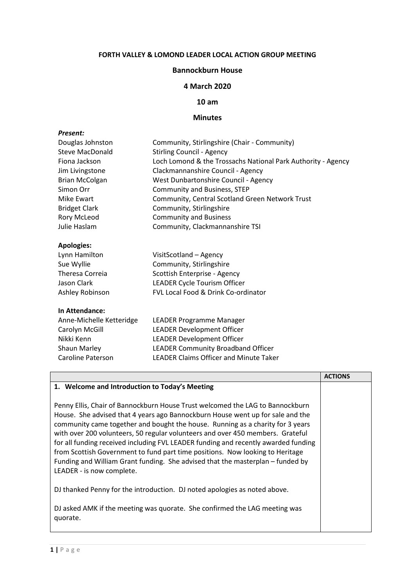# **FORTH VALLEY & LOMOND LEADER LOCAL ACTION GROUP MEETING**

#### **Bannockburn House**

## **4 March 2020**

## **10 am**

#### **Minutes**

#### *Present:*

| Douglas Johnston         | Community, Stirlingshire (Chair - Community)                 |
|--------------------------|--------------------------------------------------------------|
| <b>Steve MacDonald</b>   | <b>Stirling Council - Agency</b>                             |
| Fiona Jackson            | Loch Lomond & the Trossachs National Park Authority - Agency |
| Jim Livingstone          | Clackmannanshire Council - Agency                            |
| <b>Brian McColgan</b>    | West Dunbartonshire Council - Agency                         |
| Simon Orr                | Community and Business, STEP                                 |
| <b>Mike Ewart</b>        | Community, Central Scotland Green Network Trust              |
| <b>Bridget Clark</b>     | Community, Stirlingshire                                     |
| <b>Rory McLeod</b>       | <b>Community and Business</b>                                |
| Julie Haslam             | Community, Clackmannanshire TSI                              |
| <b>Apologies:</b>        |                                                              |
| Lynn Hamilton            | VisitScotland - Agency                                       |
| Sue Wyllie               | Community, Stirlingshire                                     |
| Theresa Correia          | Scottish Enterprise - Agency                                 |
| Jason Clark              | LEADER Cycle Tourism Officer                                 |
| Ashley Robinson          | <b>FVL Local Food &amp; Drink Co-ordinator</b>               |
| In Attendance:           |                                                              |
| Anne-Michelle Ketteridge | LEADER Programme Manager                                     |
|                          |                                                              |

| Anne-Michelle Ketteridge | LEADER Programme Manager                      |
|--------------------------|-----------------------------------------------|
| Carolyn McGill           | <b>LEADER Development Officer</b>             |
| Nikki Kenn               | <b>LEADER Development Officer</b>             |
| <b>Shaun Marley</b>      | <b>LEADER Community Broadband Officer</b>     |
| Caroline Paterson        | <b>LEADER Claims Officer and Minute Taker</b> |
|                          |                                               |

|                                                                                                                                                                                                                                                                                                                                                                                                                                                                                                                                                                                                                           | <b>ACTIONS</b> |
|---------------------------------------------------------------------------------------------------------------------------------------------------------------------------------------------------------------------------------------------------------------------------------------------------------------------------------------------------------------------------------------------------------------------------------------------------------------------------------------------------------------------------------------------------------------------------------------------------------------------------|----------------|
| 1. Welcome and Introduction to Today's Meeting                                                                                                                                                                                                                                                                                                                                                                                                                                                                                                                                                                            |                |
| Penny Ellis, Chair of Bannockburn House Trust welcomed the LAG to Bannockburn<br>House. She advised that 4 years ago Bannockburn House went up for sale and the<br>community came together and bought the house. Running as a charity for 3 years<br>with over 200 volunteers, 50 regular volunteers and over 450 members. Grateful<br>for all funding received including FVL LEADER funding and recently awarded funding<br>from Scottish Government to fund part time positions. Now looking to Heritage<br>Funding and William Grant funding. She advised that the masterplan – funded by<br>LEADER - is now complete. |                |
| DJ thanked Penny for the introduction. DJ noted apologies as noted above.                                                                                                                                                                                                                                                                                                                                                                                                                                                                                                                                                 |                |
| DJ asked AMK if the meeting was quorate. She confirmed the LAG meeting was<br>quorate.                                                                                                                                                                                                                                                                                                                                                                                                                                                                                                                                    |                |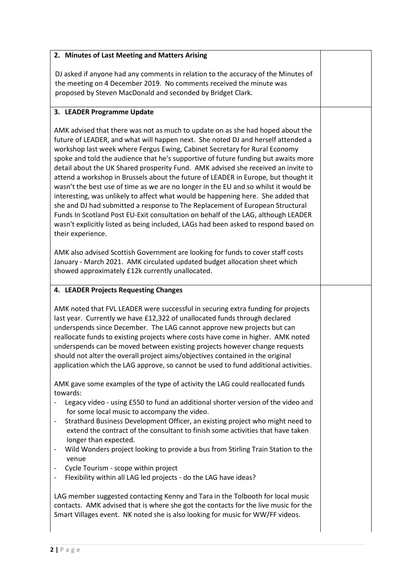| 2. Minutes of Last Meeting and Matters Arising                                                                                                                                                                                                                                                                                                                                                                                                                                                                                                                                                                                                                                                                                                                                                                                                                                                                                                                                 |  |
|--------------------------------------------------------------------------------------------------------------------------------------------------------------------------------------------------------------------------------------------------------------------------------------------------------------------------------------------------------------------------------------------------------------------------------------------------------------------------------------------------------------------------------------------------------------------------------------------------------------------------------------------------------------------------------------------------------------------------------------------------------------------------------------------------------------------------------------------------------------------------------------------------------------------------------------------------------------------------------|--|
| DJ asked if anyone had any comments in relation to the accuracy of the Minutes of<br>the meeting on 4 December 2019. No comments received the minute was                                                                                                                                                                                                                                                                                                                                                                                                                                                                                                                                                                                                                                                                                                                                                                                                                       |  |
| proposed by Steven MacDonald and seconded by Bridget Clark.                                                                                                                                                                                                                                                                                                                                                                                                                                                                                                                                                                                                                                                                                                                                                                                                                                                                                                                    |  |
| 3. LEADER Programme Update                                                                                                                                                                                                                                                                                                                                                                                                                                                                                                                                                                                                                                                                                                                                                                                                                                                                                                                                                     |  |
| AMK advised that there was not as much to update on as she had hoped about the<br>future of LEADER, and what will happen next. She noted DJ and herself attended a<br>workshop last week where Fergus Ewing, Cabinet Secretary for Rural Economy<br>spoke and told the audience that he's supportive of future funding but awaits more<br>detail about the UK Shared prosperity Fund. AMK advised she received an invite to<br>attend a workshop in Brussels about the future of LEADER in Europe, but thought it<br>wasn't the best use of time as we are no longer in the EU and so whilst it would be<br>interesting, was unlikely to affect what would be happening here. She added that<br>she and DJ had submitted a response to The Replacement of European Structural<br>Funds In Scotland Post EU-Exit consultation on behalf of the LAG, although LEADER<br>wasn't explicitly listed as being included, LAGs had been asked to respond based on<br>their experience. |  |
| AMK also advised Scottish Government are looking for funds to cover staff costs<br>January - March 2021. AMK circulated updated budget allocation sheet which<br>showed approximately £12k currently unallocated.                                                                                                                                                                                                                                                                                                                                                                                                                                                                                                                                                                                                                                                                                                                                                              |  |
| 4. LEADER Projects Requesting Changes                                                                                                                                                                                                                                                                                                                                                                                                                                                                                                                                                                                                                                                                                                                                                                                                                                                                                                                                          |  |
| AMK noted that FVL LEADER were successful in securing extra funding for projects<br>last year. Currently we have £12,322 of unallocated funds through declared<br>underspends since December. The LAG cannot approve new projects but can<br>reallocate funds to existing projects where costs have come in higher. AMK noted<br>underspends can be moved between existing projects however change requests<br>should not alter the overall project aims/objectives contained in the original<br>application which the LAG approve, so cannot be used to fund additional activities.                                                                                                                                                                                                                                                                                                                                                                                           |  |
| AMK gave some examples of the type of activity the LAG could reallocated funds<br>towards:                                                                                                                                                                                                                                                                                                                                                                                                                                                                                                                                                                                                                                                                                                                                                                                                                                                                                     |  |
| Legacy video - using £550 to fund an additional shorter version of the video and<br>for some local music to accompany the video.<br>Strathard Business Development Officer, an existing project who might need to<br>$\qquad \qquad -$<br>extend the contract of the consultant to finish some activities that have taken<br>longer than expected.                                                                                                                                                                                                                                                                                                                                                                                                                                                                                                                                                                                                                             |  |
| Wild Wonders project looking to provide a bus from Stirling Train Station to the<br>$\qquad \qquad -$<br>venue                                                                                                                                                                                                                                                                                                                                                                                                                                                                                                                                                                                                                                                                                                                                                                                                                                                                 |  |
| Cycle Tourism - scope within project<br>Flexibility within all LAG led projects - do the LAG have ideas?<br>$\qquad \qquad \blacksquare$                                                                                                                                                                                                                                                                                                                                                                                                                                                                                                                                                                                                                                                                                                                                                                                                                                       |  |
| LAG member suggested contacting Kenny and Tara in the Tolbooth for local music<br>contacts. AMK advised that is where she got the contacts for the live music for the<br>Smart Villages event. NK noted she is also looking for music for WW/FF videos.                                                                                                                                                                                                                                                                                                                                                                                                                                                                                                                                                                                                                                                                                                                        |  |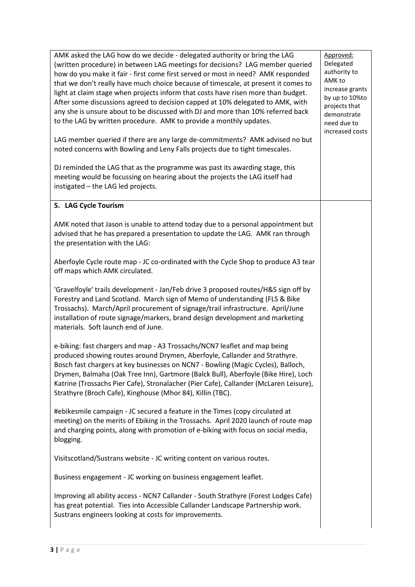AMK asked the LAG how do we decide - delegated authority or bring the LAG (written procedure) in between LAG meetings for decisions? LAG member queried how do you make it fair - first come first served or most in need? AMK responded that we don't really have much choice because of timescale, at present it comes to light at claim stage when projects inform that costs have risen more than budget. After some discussions agreed to decision capped at 10% delegated to AMK, with any she is unsure about to be discussed with DJ and more than 10% referred back to the LAG by written procedure. AMK to provide a monthly updates. LAG member queried if there are any large de-commitments? AMK advised no but noted concerns with Bowling and Leny Falls projects due to tight timescales. DJ reminded the LAG that as the programme was past its awarding stage, this meeting would be focussing on hearing about the projects the LAG itself had instigated – the LAG led projects. Approved: Delegated authority to AMK to increase grants by up to 10%to projects that demonstrate need due to increased costs **5. LAG Cycle Tourism** AMK noted that Jason is unable to attend today due to a personal appointment but advised that he has prepared a presentation to update the LAG. AMK ran through the presentation with the LAG: Aberfoyle Cycle route map - JC co-ordinated with the Cycle Shop to produce A3 tear off maps which AMK circulated. 'Gravelfoyle' trails development - Jan/Feb drive 3 proposed routes/H&S sign off by Forestry and Land Scotland. March sign of Memo of understanding (FLS & Bike Trossachs). March/April procurement of signage/trail infrastructure. April/June installation of route signage/markers, brand design development and marketing materials. Soft launch end of June. e-biking: fast chargers and map - A3 Trossachs/NCN7 leaflet and map being produced showing routes around Drymen, Aberfoyle, Callander and Strathyre. Bosch fast chargers at key businesses on NCN7 - Bowling (Magic Cycles), Balloch, Drymen, Balmaha (Oak Tree Inn), Gartmore (Balck Bull), Aberfoyle (Bike Hire), Loch Katrine (Trossachs Pier Cafe), Stronalacher (Pier Cafe), Callander (McLaren Leisure), Strathyre (Broch Cafe), Kinghouse (Mhor 84), Killin (TBC). #ebikesmile campaign - JC secured a feature in the Times (copy circulated at meeting) on the merits of Ebiking in the Trossachs. April 2020 launch of route map and charging points, along with promotion of e-biking with focus on social media, blogging. Visitscotland/Sustrans website - JC writing content on various routes. Business engagement - JC working on business engagement leaflet. Improving all ability access - NCN7 Callander - South Strathyre (Forest Lodges Cafe) has great potential. Ties into Accessible Callander Landscape Partnership work. Sustrans engineers looking at costs for improvements.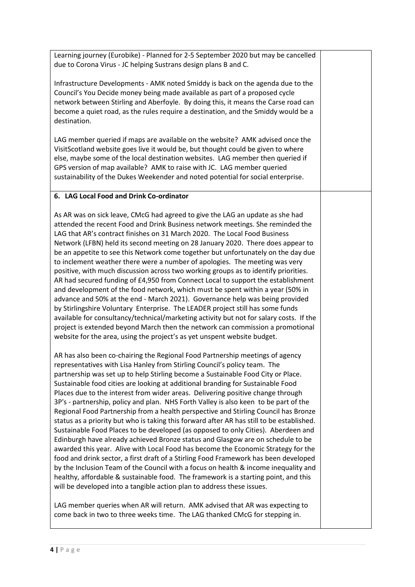Learning journey (Eurobike) - Planned for 2-5 September 2020 but may be cancelled due to Corona Virus - JC helping Sustrans design plans B and C.

Infrastructure Developments - AMK noted Smiddy is back on the agenda due to the Council's You Decide money being made available as part of a proposed cycle network between Stirling and Aberfoyle. By doing this, it means the Carse road can become a quiet road, as the rules require a destination, and the Smiddy would be a destination.

LAG member queried if maps are available on the website? AMK advised once the VisitScotland website goes live it would be, but thought could be given to where else, maybe some of the local destination websites. LAG member then queried if GPS version of map available? AMK to raise with JC. LAG member queried sustainability of the Dukes Weekender and noted potential for social enterprise.

# **6. LAG Local Food and Drink Co-ordinator**

As AR was on sick leave, CMcG had agreed to give the LAG an update as she had attended the recent Food and Drink Business network meetings. She reminded the LAG that AR's contract finishes on 31 March 2020. The Local Food Business Network (LFBN) held its second meeting on 28 January 2020. There does appear to be an appetite to see this Network come together but unfortunately on the day due to inclement weather there were a number of apologies. The meeting was very positive, with much discussion across two working groups as to identify priorities. AR had secured funding of £4,950 from Connect Local to support the establishment and development of the food network, which must be spent within a year (50% in advance and 50% at the end - March 2021). Governance help was being provided by Stirlingshire Voluntary Enterprise. The LEADER project still has some funds available for consultancy/technical/marketing activity but not for salary costs. If the project is extended beyond March then the network can commission a promotional website for the area, using the project's as yet unspent website budget.

AR has also been co-chairing the Regional Food Partnership meetings of agency representatives with Lisa Hanley from Stirling Council's policy team. The partnership was set up to help Stirling become a Sustainable Food City or Place. Sustainable food cities are looking at additional branding for Sustainable Food Places due to the interest from wider areas. Delivering positive change through 3P's - partnership, policy and plan. NHS Forth Valley is also keen to be part of the Regional Food Partnership from a health perspective and Stirling Council has Bronze status as a priority but who is taking this forward after AR has still to be established. Sustainable Food Places to be developed (as opposed to only Cities). Aberdeen and Edinburgh have already achieved Bronze status and Glasgow are on schedule to be awarded this year. Alive with Local Food has become the Economic Strategy for the food and drink sector, a first draft of a Stirling Food Framework has been developed by the Inclusion Team of the Council with a focus on health & income inequality and healthy, affordable & sustainable food. The framework is a starting point, and this will be developed into a tangible action plan to address these issues.

LAG member queries when AR will return. AMK advised that AR was expecting to come back in two to three weeks time. The LAG thanked CMcG for stepping in.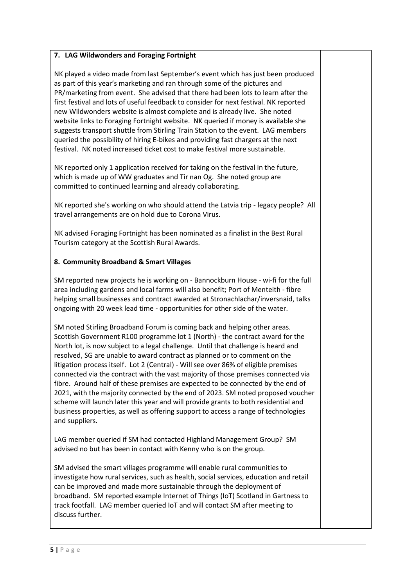## **7. LAG Wildwonders and Foraging Fortnight**

NK played a video made from last September's event which has just been produced as part of this year's marketing and ran through some of the pictures and PR/marketing from event. She advised that there had been lots to learn after the first festival and lots of useful feedback to consider for next festival. NK reported new Wildwonders website is almost complete and is already live. She noted website links to Foraging Fortnight website. NK queried if money is available she suggests transport shuttle from Stirling Train Station to the event. LAG members queried the possibility of hiring E-bikes and providing fast chargers at the next festival. NK noted increased ticket cost to make festival more sustainable.

NK reported only 1 application received for taking on the festival in the future, which is made up of WW graduates and Tir nan Og. She noted group are committed to continued learning and already collaborating.

NK reported she's working on who should attend the Latvia trip - legacy people? All travel arrangements are on hold due to Corona Virus.

NK advised Foraging Fortnight has been nominated as a finalist in the Best Rural Tourism category at the Scottish Rural Awards.

## **8. Community Broadband & Smart Villages**

SM reported new projects he is working on - Bannockburn House - wi-fi for the full area including gardens and local farms will also benefit; Port of Menteith - fibre helping small businesses and contract awarded at Stronachlachar/inversnaid, talks ongoing with 20 week lead time - opportunities for other side of the water.

SM noted Stirling Broadband Forum is coming back and helping other areas. Scottish Government R100 programme lot 1 (North) - the contract award for the North lot, is now subject to a legal challenge. Until that challenge is heard and resolved, SG are unable to award contract as planned or to comment on the litigation process itself. Lot 2 (Central) - Will see over 86% of eligible premises connected via the contract with the vast majority of those premises connected via fibre. Around half of these premises are expected to be connected by the end of 2021, with the majority connected by the end of 2023. SM noted proposed voucher scheme will launch later this year and will provide grants to both residential and business properties, as well as offering support to access a range of technologies and suppliers.

LAG member queried if SM had contacted Highland Management Group? SM advised no but has been in contact with Kenny who is on the group.

SM advised the smart villages programme will enable rural communities to investigate how rural services, such as health, social services, education and retail can be improved and made more sustainable through the deployment of broadband. SM reported example Internet of Things (IoT) Scotland in Gartness to track footfall. LAG member queried IoT and will contact SM after meeting to discuss further.